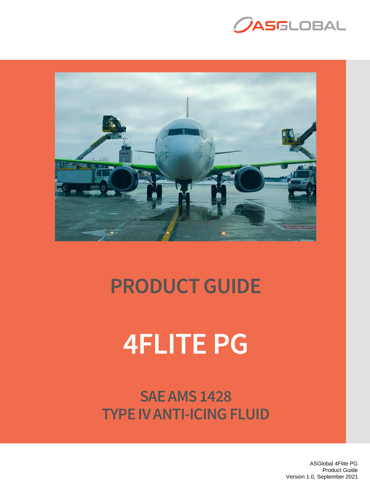



## **PRODUCT GUIDE**

# **4FLITE PG**

**SAE AMS 1428 TYPE IV ANTI-ICING FLUID**

> ASGlobal 4Flite PG Product Guide Version 1.0, September 2021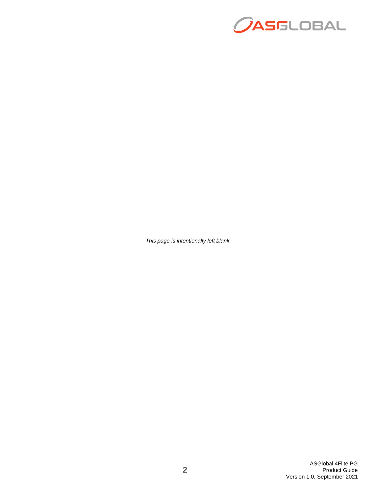

*This page is intentionally left blank.*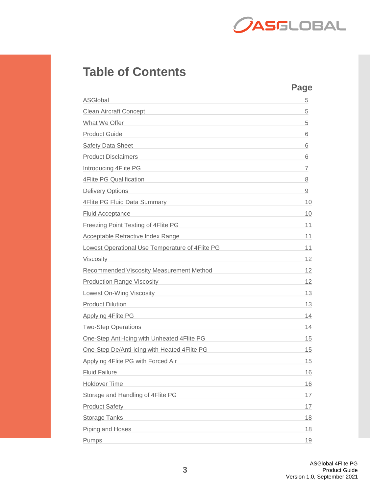

## **Table of Contents**

|                                                 | <b>Page</b> |
|-------------------------------------------------|-------------|
| ASGlobal                                        | 5           |
| <b>Clean Aircraft Concept</b>                   | 5           |
| What We Offer                                   | 5           |
| <b>Product Guide</b>                            | 6           |
| <b>Safety Data Sheet</b>                        | 6           |
| <b>Product Disclaimers</b>                      | 6           |
| Introducing 4Flite PG                           | 7           |
| 4Flite PG Qualification                         | 8           |
| <b>Delivery Options</b>                         | 9           |
| 4Flite PG Fluid Data Summary                    | 10          |
| <b>Fluid Acceptance</b>                         | 10          |
| Freezing Point Testing of 4Flite PG             | 11          |
| Acceptable Refractive Index Range               | 11          |
| Lowest Operational Use Temperature of 4Flite PG | 11          |
| Viscosity                                       | 12          |
| Recommended Viscosity Measurement Method        | 12          |
| <b>Production Range Viscosity</b>               | 12          |
| Lowest On-Wing Viscosity                        | 13          |
| <b>Product Dilution</b>                         | 13          |
| Applying 4Flite PG                              | 14          |
| <b>Two-Step Operations</b>                      | 14          |
| One-Step Anti-Icing with Unheated 4Flite PG     | 15          |
| One-Step De/Anti-icing with Heated 4Flite PG    | 15          |
| Applying 4Flite PG with Forced Air              | 15          |
| <b>Fluid Failure</b>                            | 16          |
| <b>Holdover Time</b>                            | 16          |
| Storage and Handling of 4Flite PG               | 17          |
| <b>Product Safety</b>                           | 17          |
| <b>Storage Tanks</b>                            | 18          |
| Piping and Hoses                                | 18          |
| Pumps                                           | 19          |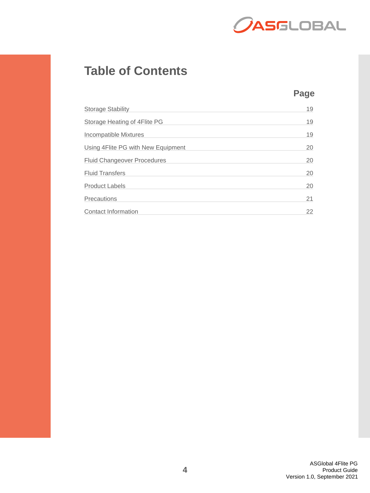

## **Table of Contents**

#### **Page**

| <b>Storage Stability</b>           | 19 |
|------------------------------------|----|
| Storage Heating of 4Flite PG       | 19 |
| Incompatible Mixtures              | 19 |
| Using 4Flite PG with New Equipment | 20 |
| <b>Fluid Changeover Procedures</b> | 20 |
| <b>Fluid Transfers</b>             | 20 |
| <b>Product Labels</b>              | 20 |
| Precautions                        | 21 |
| Contact Information                | 22 |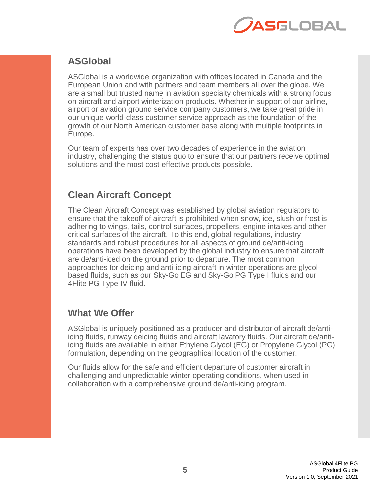

## **ASGlobal**

ASGlobal is a worldwide organization with offices located in Canada and the European Union and with partners and team members all over the globe. We are a small but trusted name in aviation specialty chemicals with a strong focus on aircraft and airport winterization products. Whether in support of our airline, airport or aviation ground service company customers, we take great pride in our unique world-class customer service approach as the foundation of the growth of our North American customer base along with multiple footprints in Europe.

Our team of experts has over two decades of experience in the aviation industry, challenging the status quo to ensure that our partners receive optimal solutions and the most cost-effective products possible.

#### **Clean Aircraft Concept**

The Clean Aircraft Concept was established by global aviation regulators to ensure that the takeoff of aircraft is prohibited when snow, ice, slush or frost is adhering to wings, tails, control surfaces, propellers, engine intakes and other critical surfaces of the aircraft. To this end, global regulations, industry standards and robust procedures for all aspects of ground de/anti-icing operations have been developed by the global industry to ensure that aircraft are de/anti-iced on the ground prior to departure. The most common approaches for deicing and anti-icing aircraft in winter operations are glycolbased fluids, such as our Sky-Go EG and Sky-Go PG Type I fluids and our 4Flite PG Type IV fluid.

#### **What We Offer**

ASGlobal is uniquely positioned as a producer and distributor of aircraft de/antiicing fluids, runway deicing fluids and aircraft lavatory fluids. Our aircraft de/antiicing fluids are available in either Ethylene Glycol (EG) or Propylene Glycol (PG) formulation, depending on the geographical location of the customer.

Our fluids allow for the safe and efficient departure of customer aircraft in challenging and unpredictable winter operating conditions, when used in collaboration with a comprehensive ground de/anti-icing program.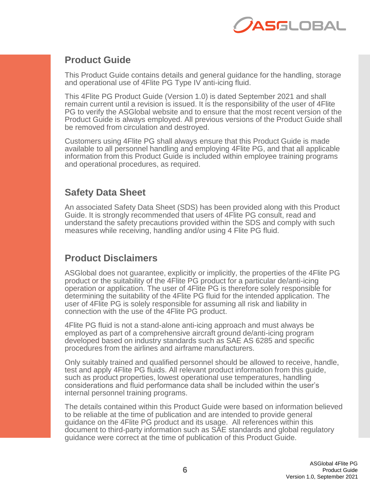

#### **Product Guide**

This Product Guide contains details and general guidance for the handling, storage and operational use of 4Flite PG Type IV anti-icing fluid.

This 4Flite PG Product Guide (Version 1.0) is dated September 2021 and shall remain current until a revision is issued. It is the responsibility of the user of 4Flite PG to verify the ASGlobal website and to ensure that the most recent version of the Product Guide is always employed. All previous versions of the Product Guide shall be removed from circulation and destroyed.

Customers using 4Flite PG shall always ensure that this Product Guide is made available to all personnel handling and employing 4Flite PG, and that all applicable information from this Product Guide is included within employee training programs and operational procedures, as required.

#### **Safety Data Sheet**

An associated Safety Data Sheet (SDS) has been provided along with this Product Guide. It is strongly recommended that users of 4Flite PG consult, read and understand the safety precautions provided within the SDS and comply with such measures while receiving, handling and/or using 4 Flite PG fluid.

#### **Product Disclaimers**

ASGlobal does not guarantee, explicitly or implicitly, the properties of the 4Flite PG product or the suitability of the 4Flite PG product for a particular de/anti-icing operation or application. The user of 4Flite PG is therefore solely responsible for determining the suitability of the 4Flite PG fluid for the intended application. The user of 4Flite PG is solely responsible for assuming all risk and liability in connection with the use of the 4Flite PG product.

4Flite PG fluid is not a stand-alone anti-icing approach and must always be employed as part of a comprehensive aircraft ground de/anti-icing program developed based on industry standards such as SAE AS 6285 and specific procedures from the airlines and airframe manufacturers.

Only suitably trained and qualified personnel should be allowed to receive, handle, test and apply 4Flite PG fluids. All relevant product information from this guide, such as product properties, lowest operational use temperatures, handling considerations and fluid performance data shall be included within the user's internal personnel training programs.

The details contained within this Product Guide were based on information believed to be reliable at the time of publication and are intended to provide general guidance on the 4Flite PG product and its usage. All references within this document to third-party information such as SAE standards and global regulatory guidance were correct at the time of publication of this Product Guide.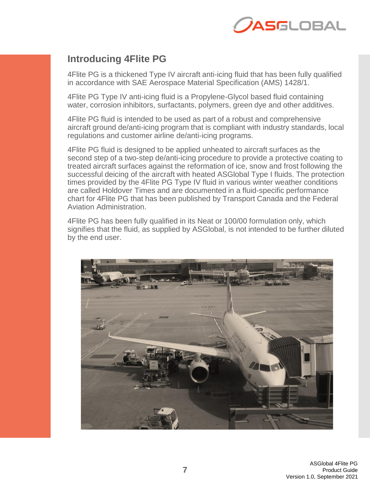

## **Introducing 4Flite PG**

4Flite PG is a thickened Type IV aircraft anti-icing fluid that has been fully qualified in accordance with SAE Aerospace Material Specification (AMS) 1428/1.

4Flite PG Type IV anti-icing fluid is a Propylene-Glycol based fluid containing water, corrosion inhibitors, surfactants, polymers, green dye and other additives.

4Flite PG fluid is intended to be used as part of a robust and comprehensive aircraft ground de/anti-icing program that is compliant with industry standards, local regulations and customer airline de/anti-icing programs.

4Flite PG fluid is designed to be applied unheated to aircraft surfaces as the second step of a two-step de/anti-icing procedure to provide a protective coating to treated aircraft surfaces against the reformation of ice, snow and frost following the successful deicing of the aircraft with heated ASGlobal Type I fluids. The protection times provided by the 4Flite PG Type IV fluid in various winter weather conditions are called Holdover Times and are documented in a fluid-specific performance chart for 4Flite PG that has been published by Transport Canada and the Federal Aviation Administration.

4Flite PG has been fully qualified in its Neat or 100/00 formulation only, which signifies that the fluid, as supplied by ASGlobal, is not intended to be further diluted by the end user.

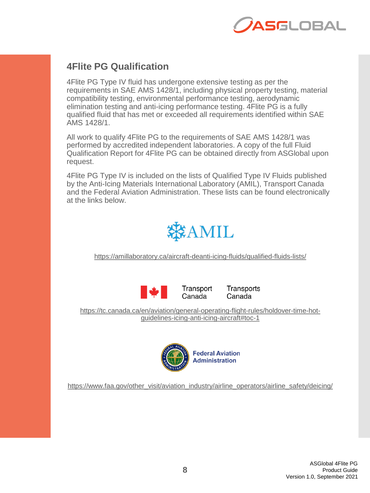

#### **4Flite PG Qualification**

4Flite PG Type IV fluid has undergone extensive testing as per the requirements in SAE AMS 1428/1, including physical property testing, material compatibility testing, environmental performance testing, aerodynamic elimination testing and anti-icing performance testing. 4Flite PG is a fully qualified fluid that has met or exceeded all requirements identified within SAE AMS 1428/1.

All work to qualify 4Flite PG to the requirements of SAE AMS 1428/1 was performed by accredited independent laboratories. A copy of the full Fluid Qualification Report for 4Flite PG can be obtained directly from ASGlobal upon request.

4Flite PG Type IV is included on the lists of Qualified Type IV Fluids published by the Anti-Icing Materials International Laboratory (AMIL), Transport Canada and the Federal Aviation Administration. These lists can be found electronically at the links below.



<https://amillaboratory.ca/aircraft-deanti-icing-fluids/qualified-fluids-lists/>



Transport Transports Canada Canada

[https://tc.canada.ca/en/aviation/general-operating-flight-rules/holdover-time-hot](https://tc.canada.ca/en/aviation/general-operating-flight-rules/holdover-time-hot-guidelines-icing-anti-icing-aircraft#toc-1)guidelines-icing-anti-icing-aircraft#toc-1



[https://www.faa.gov/other\\_visit/aviation\\_industry/airline\\_operators/airline\\_safety/deicing/](http://www.faa.gov/other_visit/aviation_industry/airline_operators/airline_safety/deicing)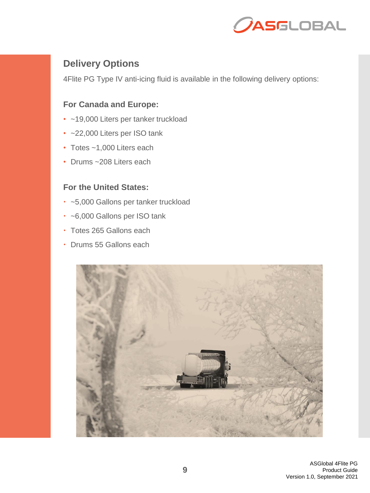

#### **Delivery Options**

4Flite PG Type IV anti-icing fluid is available in the following delivery options:

#### **For Canada and Europe:**

- ~19,000 Liters per tanker truckload
- ~22,000 Liters per ISO tank
- Totes ~1,000 Liters each
- Drums ~208 Liters each

#### **For the United States:**

- ~5,000 Gallons per tanker truckload
- ~6,000 Gallons per ISO tank
- Totes 265 Gallons each
- Drums 55 Gallons each

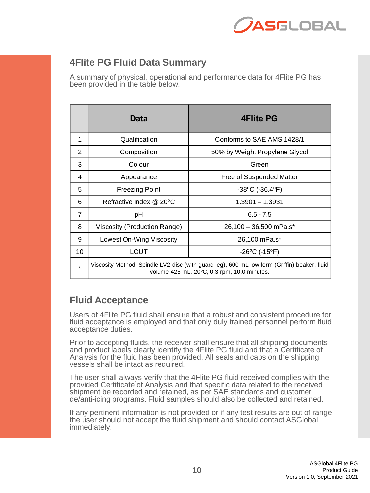

#### **4Flite PG Fluid Data Summary**

A summary of physical, operational and performance data for 4Flite PG has been provided in the table below.

|                | Data                                                                                                                                        | <b>4Flite PG</b>                     |
|----------------|---------------------------------------------------------------------------------------------------------------------------------------------|--------------------------------------|
| 1              | Qualification                                                                                                                               | Conforms to SAE AMS 1428/1           |
| $\overline{2}$ | Composition                                                                                                                                 | 50% by Weight Propylene Glycol       |
| 3              | Colour                                                                                                                                      | Green                                |
| 4              | Appearance                                                                                                                                  | Free of Suspended Matter             |
| 5              | <b>Freezing Point</b>                                                                                                                       | $-38^{\circ}$ C ( $-36.4^{\circ}$ F) |
| 6              | Refractive Index @ 20°C                                                                                                                     | $1.3901 - 1.3931$                    |
| 7              | рH                                                                                                                                          | $6.5 - 7.5$                          |
| 8              | Viscosity (Production Range)                                                                                                                | $26,100 - 36,500$ mPa.s <sup>*</sup> |
| 9              | Lowest On-Wing Viscosity                                                                                                                    | 26,100 mPa.s*                        |
| 10             | LOUT                                                                                                                                        | $-26$ °C (-15°F)                     |
| $\star$        | Viscosity Method: Spindle LV2-disc (with guard leg), 600 mL low form (Griffin) beaker, fluid<br>volume 425 mL, 20°C, 0.3 rpm, 10.0 minutes. |                                      |

#### **Fluid Acceptance**

Users of 4Flite PG fluid shall ensure that a robust and consistent procedure for fluid acceptance is employed and that only duly trained personnel perform fluid acceptance duties.

Prior to accepting fluids, the receiver shall ensure that all shipping documents and product labels clearly identify the 4Flite PG fluid and that a Certificate of Analysis for the fluid has been provided. All seals and caps on the shipping vessels shall be intact as required.

The user shall always verify that the 4Flite PG fluid received complies with the provided Certificate of Analysis and that specific data related to the received shipment be recorded and retained, as per SAE standards and customer de/anti-icing programs. Fluid samples should also be collected and retained.

If any pertinent information is not provided or if any test results are out of range, the user should not accept the fluid shipment and should contact ASGlobal immediately.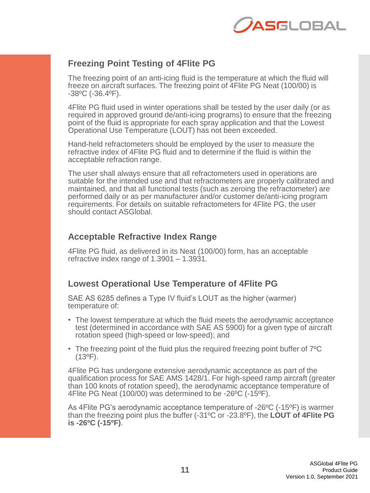

#### **Freezing Point Testing of 4Flite PG**

The freezing point of an anti-icing fluid is the temperature at which the fluid will freeze on aircraft surfaces. The freezing point of 4Flite PG Neat (100/00) is -38ºC (-36.4ºF).

4Flite PG fluid used in winter operations shall be tested by the user daily (or as required in approved ground de/anti-icing programs) to ensure that the freezing point of the fluid is appropriate for each spray application and that the Lowest Operational Use Temperature (LOUT) has not been exceeded.

Hand-held refractometers should be employed by the user to measure the refractive index of 4Flite PG fluid and to determine if the fluid is within the acceptable refraction range.

The user shall always ensure that all refractometers used in operations are suitable for the intended use and that refractometers are properly calibrated and maintained, and that all functional tests (such as zeroing the refractometer) are performed daily or as per manufacturer and/or customer de/anti-icing program requirements. For details on suitable refractometers for 4Flite PG, the user should contact ASGlobal.

#### **Acceptable Refractive Index Range**

4Flite PG fluid, as delivered in its Neat (100/00) form, has an acceptable refractive index range of 1.3901 – 1.3931.

#### **Lowest Operational Use Temperature of 4Flite PG**

SAE AS 6285 defines a Type IV fluid's LOUT as the higher (warmer) temperature of:

- The lowest temperature at which the fluid meets the aerodynamic acceptance test (determined in accordance with SAE AS 5900) for a given type of aircraft rotation speed (high-speed or low-speed); and
- The freezing point of the fluid plus the required freezing point buffer of 7ºC  $(13^{\circ}F)$ .

4Flite PG has undergone extensive aerodynamic acceptance as part of the qualification process for SAE AMS 1428/1. For high-speed ramp aircraft (greater than 100 knots of rotation speed), the aerodynamic acceptance temperature of 4Flite PG Neat (100/00) was determined to be -26ºC (-15ºF).

As 4Flite PG's aerodynamic acceptance temperature of -26ºC (-15ºF) is warmer than the freezing point plus the buffer (-31ºC or -23.8ºF), the **LOUT of 4Flite PG is -26ºC (-15ºF)**.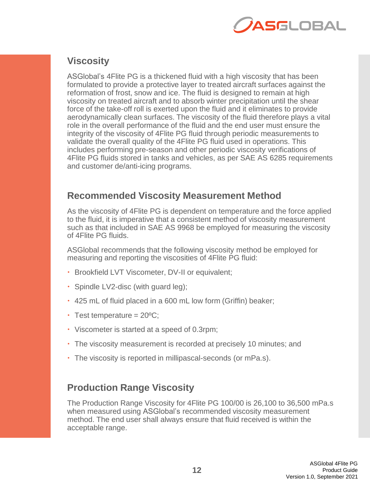

## **Viscosity**

ASGlobal's 4Flite PG is a thickened fluid with a high viscosity that has been formulated to provide a protective layer to treated aircraft surfaces against the reformation of frost, snow and ice. The fluid is designed to remain at high viscosity on treated aircraft and to absorb winter precipitation until the shear force of the take-off roll is exerted upon the fluid and it eliminates to provide aerodynamically clean surfaces. The viscosity of the fluid therefore plays a vital role in the overall performance of the fluid and the end user must ensure the integrity of the viscosity of 4Flite PG fluid through periodic measurements to validate the overall quality of the 4Flite PG fluid used in operations. This includes performing pre-season and other periodic viscosity verifications of 4Flite PG fluids stored in tanks and vehicles, as per SAE AS 6285 requirements and customer de/anti-icing programs.

#### **Recommended Viscosity Measurement Method**

As the viscosity of 4Flite PG is dependent on temperature and the force applied to the fluid, it is imperative that a consistent method of viscosity measurement such as that included in SAE AS 9968 be employed for measuring the viscosity of 4Flite PG fluids.

ASGlobal recommends that the following viscosity method be employed for measuring and reporting the viscosities of 4Flite PG fluid:

- Brookfield LVT Viscometer, DV-II or equivalent;
- Spindle LV2-disc (with guard leg);
- 425 mL of fluid placed in a 600 mL low form (Griffin) beaker;
- $\cdot$  Test temperature = 20 $^{\circ}$ C;
- Viscometer is started at a speed of 0.3rpm;
- The viscosity measurement is recorded at precisely 10 minutes; and
- The viscosity is reported in millipascal-seconds (or mPa.s).

#### **Production Range Viscosity**

The Production Range Viscosity for 4Flite PG 100/00 is 26,100 to 36,500 mPa.s when measured using ASGlobal's recommended viscosity measurement method. The end user shall always ensure that fluid received is within the acceptable range.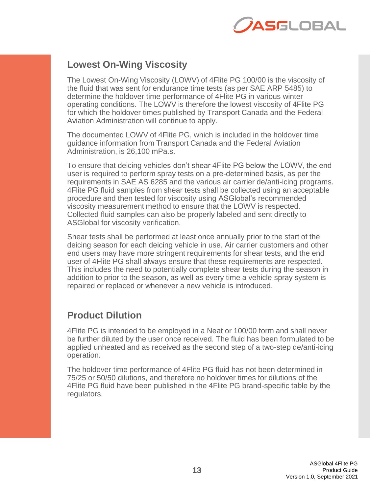

#### **Lowest On-Wing Viscosity**

The Lowest On-Wing Viscosity (LOWV) of 4Flite PG 100/00 is the viscosity of the fluid that was sent for endurance time tests (as per SAE ARP 5485) to determine the holdover time performance of 4Flite PG in various winter operating conditions. The LOWV is therefore the lowest viscosity of 4Flite PG for which the holdover times published by Transport Canada and the Federal Aviation Administration will continue to apply.

The documented LOWV of 4Flite PG, which is included in the holdover time guidance information from Transport Canada and the Federal Aviation Administration, is 26,100 mPa.s.

To ensure that deicing vehicles don't shear 4Flite PG below the LOWV, the end user is required to perform spray tests on a pre-determined basis, as per the requirements in SAE AS 6285 and the various air carrier de/anti-icing programs. 4Flite PG fluid samples from shear tests shall be collected using an acceptable procedure and then tested for viscosity using ASGlobal's recommended viscosity measurement method to ensure that the LOWV is respected. Collected fluid samples can also be properly labeled and sent directly to ASGlobal for viscosity verification.

Shear tests shall be performed at least once annually prior to the start of the deicing season for each deicing vehicle in use. Air carrier customers and other end users may have more stringent requirements for shear tests, and the end user of 4Flite PG shall always ensure that these requirements are respected. This includes the need to potentially complete shear tests during the season in addition to prior to the season, as well as every time a vehicle spray system is repaired or replaced or whenever a new vehicle is introduced.

#### **Product Dilution**

4Flite PG is intended to be employed in a Neat or 100/00 form and shall never be further diluted by the user once received. The fluid has been formulated to be applied unheated and as received as the second step of a two-step de/anti-icing operation.

The holdover time performance of 4Flite PG fluid has not been determined in 75/25 or 50/50 dilutions, and therefore no holdover times for dilutions of the 4Flite PG fluid have been published in the 4Flite PG brand-specific table by the regulators.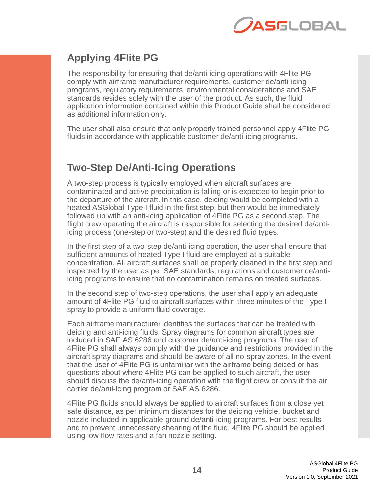

## **Applying 4Flite PG**

The responsibility for ensuring that de/anti-icing operations with 4Flite PG comply with airframe manufacturer requirements, customer de/anti-icing programs, regulatory requirements, environmental considerations and SAE standards resides solely with the user of the product. As such, the fluid application information contained within this Product Guide shall be considered as additional information only.

The user shall also ensure that only properly trained personnel apply 4Flite PG fluids in accordance with applicable customer de/anti-icing programs.

## **Two-Step De/Anti-Icing Operations**

A two-step process is typically employed when aircraft surfaces are contaminated and active precipitation is falling or is expected to begin prior to the departure of the aircraft. In this case, deicing would be completed with a heated ASGlobal Type I fluid in the first step, but then would be immediately followed up with an anti-icing application of 4Flite PG as a second step. The flight crew operating the aircraft is responsible for selecting the desired de/antiicing process (one-step or two-step) and the desired fluid types.

In the first step of a two-step de/anti-icing operation, the user shall ensure that sufficient amounts of heated Type I fluid are employed at a suitable concentration. All aircraft surfaces shall be properly cleaned in the first step and inspected by the user as per SAE standards, regulations and customer de/antiicing programs to ensure that no contamination remains on treated surfaces.

In the second step of two-step operations, the user shall apply an adequate amount of 4Flite PG fluid to aircraft surfaces within three minutes of the Type I spray to provide a uniform fluid coverage.

Each airframe manufacturer identifies the surfaces that can be treated with deicing and anti-icing fluids. Spray diagrams for common aircraft types are included in SAE AS 6286 and customer de/anti-icing programs. The user of 4Flite PG shall always comply with the guidance and restrictions provided in the aircraft spray diagrams and should be aware of all no-spray zones. In the event that the user of 4Flite PG is unfamiliar with the airframe being deiced or has questions about where 4Flite PG can be applied to such aircraft, the user should discuss the de/anti-icing operation with the flight crew or consult the air carrier de/anti-icing program or SAE AS 6286.

4Flite PG fluids should always be applied to aircraft surfaces from a close yet safe distance, as per minimum distances for the deicing vehicle, bucket and nozzle included in applicable ground de/anti-icing programs. For best results and to prevent unnecessary shearing of the fluid, 4Flite PG should be applied using low flow rates and a fan nozzle setting.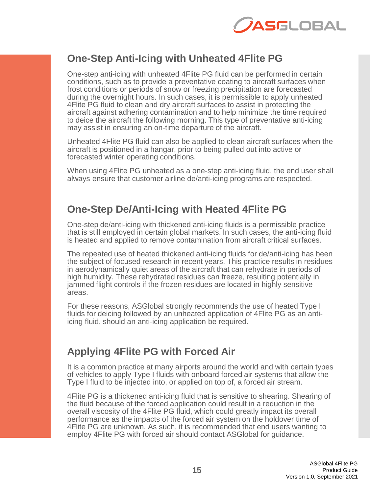

## **One-Step Anti-Icing with Unheated 4Flite PG**

One-step anti-icing with unheated 4Flite PG fluid can be performed in certain conditions, such as to provide a preventative coating to aircraft surfaces when frost conditions or periods of snow or freezing precipitation are forecasted during the overnight hours. In such cases, it is permissible to apply unheated 4Flite PG fluid to clean and dry aircraft surfaces to assist in protecting the aircraft against adhering contamination and to help minimize the time required to deice the aircraft the following morning. This type of preventative anti-icing may assist in ensuring an on-time departure of the aircraft.

Unheated 4Flite PG fluid can also be applied to clean aircraft surfaces when the aircraft is positioned in a hangar, prior to being pulled out into active or forecasted winter operating conditions.

When using 4Flite PG unheated as a one-step anti-icing fluid, the end user shall always ensure that customer airline de/anti-icing programs are respected.

## **One-Step De/Anti-Icing with Heated 4Flite PG**

One-step de/anti-icing with thickened anti-icing fluids is a permissible practice that is still employed in certain global markets. In such cases, the anti-icing fluid is heated and applied to remove contamination from aircraft critical surfaces.

The repeated use of heated thickened anti-icing fluids for de/anti-icing has been the subject of focused research in recent years. This practice results in residues in aerodynamically quiet areas of the aircraft that can rehydrate in periods of high humidity. These rehydrated residues can freeze, resulting potentially in jammed flight controls if the frozen residues are located in highly sensitive areas.

For these reasons, ASGlobal strongly recommends the use of heated Type I fluids for deicing followed by an unheated application of 4Flite PG as an antiicing fluid, should an anti-icing application be required.

## **Applying 4Flite PG with Forced Air**

It is a common practice at many airports around the world and with certain types of vehicles to apply Type I fluids with onboard forced air systems that allow the Type I fluid to be injected into, or applied on top of, a forced air stream.

4Flite PG is a thickened anti-icing fluid that is sensitive to shearing. Shearing of the fluid because of the forced application could result in a reduction in the overall viscosity of the 4Flite PG fluid, which could greatly impact its overall performance as the impacts of the forced air system on the holdover time of 4Flite PG are unknown. As such, it is recommended that end users wanting to employ 4Flite PG with forced air should contact ASGlobal for guidance.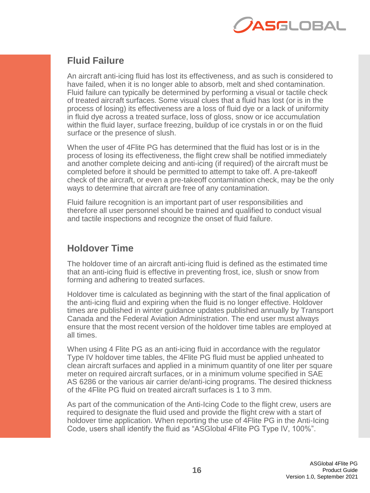

#### **Fluid Failure**

An aircraft anti-icing fluid has lost its effectiveness, and as such is considered to have failed, when it is no longer able to absorb, melt and shed contamination. Fluid failure can typically be determined by performing a visual or tactile check of treated aircraft surfaces. Some visual clues that a fluid has lost (or is in the process of losing) its effectiveness are a loss of fluid dye or a lack of uniformity in fluid dye across a treated surface, loss of gloss, snow or ice accumulation within the fluid layer, surface freezing, buildup of ice crystals in or on the fluid surface or the presence of slush.

When the user of 4Flite PG has determined that the fluid has lost or is in the process of losing its effectiveness, the flight crew shall be notified immediately and another complete deicing and anti-icing (if required) of the aircraft must be completed before it should be permitted to attempt to take off. A pre-takeoff check of the aircraft, or even a pre-takeoff contamination check, may be the only ways to determine that aircraft are free of any contamination.

Fluid failure recognition is an important part of user responsibilities and therefore all user personnel should be trained and qualified to conduct visual and tactile inspections and recognize the onset of fluid failure.

#### **Holdover Time**

The holdover time of an aircraft anti-icing fluid is defined as the estimated time that an anti-icing fluid is effective in preventing frost, ice, slush or snow from forming and adhering to treated surfaces.

Holdover time is calculated as beginning with the start of the final application of the anti-icing fluid and expiring when the fluid is no longer effective. Holdover times are published in winter guidance updates published annually by Transport Canada and the Federal Aviation Administration. The end user must always ensure that the most recent version of the holdover time tables are employed at all times.

When using 4 Flite PG as an anti-icing fluid in accordance with the regulator Type IV holdover time tables, the 4Flite PG fluid must be applied unheated to clean aircraft surfaces and applied in a minimum quantity of one liter per square meter on required aircraft surfaces, or in a minimum volume specified in SAE AS 6286 or the various air carrier de/anti-icing programs. The desired thickness of the 4Flite PG fluid on treated aircraft surfaces is 1 to 3 mm.

As part of the communication of the Anti-Icing Code to the flight crew, users are required to designate the fluid used and provide the flight crew with a start of holdover time application. When reporting the use of 4Flite PG in the Anti-Icing Code, users shall identify the fluid as "ASGlobal 4Flite PG Type IV, 100%".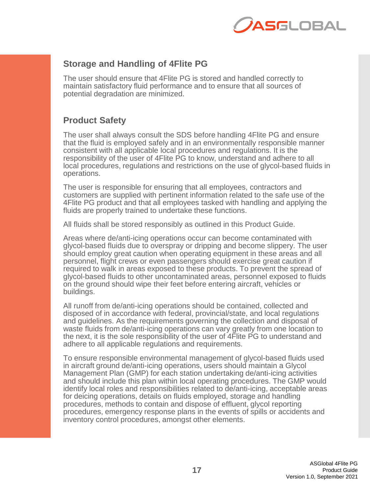

#### **Storage and Handling of 4Flite PG**

The user should ensure that 4Flite PG is stored and handled correctly to maintain satisfactory fluid performance and to ensure that all sources of potential degradation are minimized.

#### **Product Safety**

The user shall always consult the SDS before handling 4Flite PG and ensure that the fluid is employed safely and in an environmentally responsible manner consistent with all applicable local procedures and regulations. It is the responsibility of the user of 4Flite PG to know, understand and adhere to all local procedures, regulations and restrictions on the use of glycol-based fluids in operations.

The user is responsible for ensuring that all employees, contractors and customers are supplied with pertinent information related to the safe use of the 4Flite PG product and that all employees tasked with handling and applying the fluids are properly trained to undertake these functions.

All fluids shall be stored responsibly as outlined in this Product Guide.

Areas where de/anti-icing operations occur can become contaminated with glycol-based fluids due to overspray or dripping and become slippery. The user should employ great caution when operating equipment in these areas and all personnel, flight crews or even passengers should exercise great caution if required to walk in areas exposed to these products. To prevent the spread of glycol-based fluids to other uncontaminated areas, personnel exposed to fluids on the ground should wipe their feet before entering aircraft, vehicles or buildings.

All runoff from de/anti-icing operations should be contained, collected and disposed of in accordance with federal, provincial/state, and local regulations and guidelines. As the requirements governing the collection and disposal of waste fluids from de/anti-icing operations can vary greatly from one location to the next, it is the sole responsibility of the user of 4Flite PG to understand and adhere to all applicable regulations and requirements.

To ensure responsible environmental management of glycol-based fluids used in aircraft ground de/anti-icing operations, users should maintain a Glycol Management Plan (GMP) for each station undertaking de/anti-icing activities and should include this plan within local operating procedures. The GMP would identify local roles and responsibilities related to de/anti-icing, acceptable areas for deicing operations, details on fluids employed, storage and handling procedures, methods to contain and dispose of effluent, glycol reporting procedures, emergency response plans in the events of spills or accidents and inventory control procedures, amongst other elements.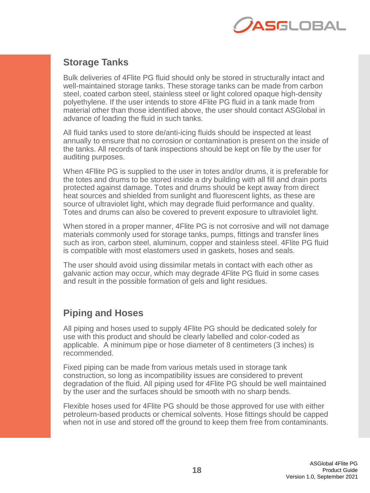

#### **Storage Tanks**

Bulk deliveries of 4Flite PG fluid should only be stored in structurally intact and well-maintained storage tanks. These storage tanks can be made from carbon steel, coated carbon steel, stainless steel or light colored opaque high-density polyethylene. If the user intends to store 4Flite PG fluid in a tank made from material other than those identified above, the user should contact ASGlobal in advance of loading the fluid in such tanks.

All fluid tanks used to store de/anti-icing fluids should be inspected at least annually to ensure that no corrosion or contamination is present on the inside of the tanks. All records of tank inspections should be kept on file by the user for auditing purposes.

When 4Fllite PG is supplied to the user in totes and/or drums, it is preferable for the totes and drums to be stored inside a dry building with all fill and drain ports protected against damage. Totes and drums should be kept away from direct heat sources and shielded from sunlight and fluorescent lights, as these are source of ultraviolet light, which may degrade fluid performance and quality. Totes and drums can also be covered to prevent exposure to ultraviolet light.

When stored in a proper manner, 4Flite PG is not corrosive and will not damage materials commonly used for storage tanks, pumps, fittings and transfer lines such as iron, carbon steel, aluminum, copper and stainless steel. 4Flite PG fluid is compatible with most elastomers used in gaskets, hoses and seals.

The user should avoid using dissimilar metals in contact with each other as galvanic action may occur, which may degrade 4Flite PG fluid in some cases and result in the possible formation of gels and light residues.

#### **Piping and Hoses**

All piping and hoses used to supply 4Flite PG should be dedicated solely for use with this product and should be clearly labelled and color-coded as applicable. A minimum pipe or hose diameter of 8 centimeters (3 inches) is recommended.

Fixed piping can be made from various metals used in storage tank construction, so long as incompatibility issues are considered to prevent degradation of the fluid. All piping used for 4Flite PG should be well maintained by the user and the surfaces should be smooth with no sharp bends.

Flexible hoses used for 4Flite PG should be those approved for use with either petroleum-based products or chemical solvents. Hose fittings should be capped when not in use and stored off the ground to keep them free from contaminants.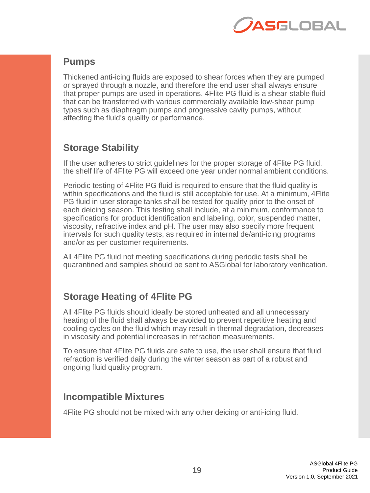

#### **Pumps**

Thickened anti-icing fluids are exposed to shear forces when they are pumped or sprayed through a nozzle, and therefore the end user shall always ensure that proper pumps are used in operations. 4Flite PG fluid is a shear-stable fluid that can be transferred with various commercially available low-shear pump types such as diaphragm pumps and progressive cavity pumps, without affecting the fluid's quality or performance.

#### **Storage Stability**

If the user adheres to strict guidelines for the proper storage of 4Flite PG fluid, the shelf life of 4Flite PG will exceed one year under normal ambient conditions.

Periodic testing of 4Flite PG fluid is required to ensure that the fluid quality is within specifications and the fluid is still acceptable for use. At a minimum, 4Flite PG fluid in user storage tanks shall be tested for quality prior to the onset of each deicing season. This testing shall include, at a minimum, conformance to specifications for product identification and labeling, color, suspended matter, viscosity, refractive index and pH. The user may also specify more frequent intervals for such quality tests, as required in internal de/anti-icing programs and/or as per customer requirements.

All 4Flite PG fluid not meeting specifications during periodic tests shall be quarantined and samples should be sent to ASGlobal for laboratory verification.

#### **Storage Heating of 4Flite PG**

All 4Flite PG fluids should ideally be stored unheated and all unnecessary heating of the fluid shall always be avoided to prevent repetitive heating and cooling cycles on the fluid which may result in thermal degradation, decreases in viscosity and potential increases in refraction measurements.

To ensure that 4Flite PG fluids are safe to use, the user shall ensure that fluid refraction is verified daily during the winter season as part of a robust and ongoing fluid quality program.

#### **Incompatible Mixtures**

4Flite PG should not be mixed with any other deicing or anti-icing fluid.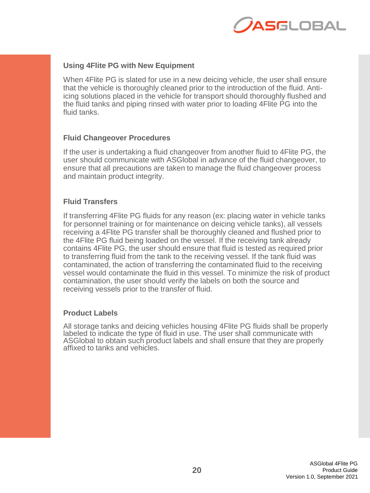

#### **Using 4Flite PG with New Equipment**

When 4Flite PG is slated for use in a new deicing vehicle, the user shall ensure that the vehicle is thoroughly cleaned prior to the introduction of the fluid. Antiicing solutions placed in the vehicle for transport should thoroughly flushed and the fluid tanks and piping rinsed with water prior to loading 4Flite PG into the fluid tanks.

#### **Fluid Changeover Procedures**

If the user is undertaking a fluid changeover from another fluid to 4Flite PG, the user should communicate with ASGlobal in advance of the fluid changeover, to ensure that all precautions are taken to manage the fluid changeover process and maintain product integrity.

#### **Fluid Transfers**

If transferring 4Flite PG fluids for any reason (ex: placing water in vehicle tanks for personnel training or for maintenance on deicing vehicle tanks), all vessels receiving a 4Flite PG transfer shall be thoroughly cleaned and flushed prior to the 4Flite PG fluid being loaded on the vessel. If the receiving tank already contains 4Flite PG, the user should ensure that fluid is tested as required prior to transferring fluid from the tank to the receiving vessel. If the tank fluid was contaminated, the action of transferring the contaminated fluid to the receiving vessel would contaminate the fluid in this vessel. To minimize the risk of product contamination, the user should verify the labels on both the source and receiving vessels prior to the transfer of fluid.

#### **Product Labels**

All storage tanks and deicing vehicles housing 4Flite PG fluids shall be properly labeled to indicate the type of fluid in use. The user shall communicate with ASGlobal to obtain such product labels and shall ensure that they are properly affixed to tanks and vehicles.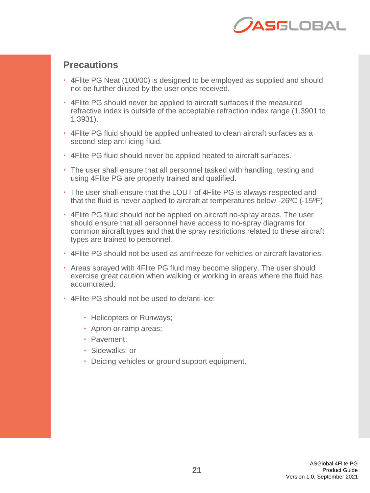

#### **Precautions**

- 4Flite PG Neat (100/00) is designed to be employed as supplied and should not be further diluted by the user once received.
- 4Flite PG should never be applied to aircraft surfaces if the measured refractive index is outside of the acceptable refraction index range (1.3901 to 1.3931).
- 4Flite PG fluid should be applied unheated to clean aircraft surfaces as a second-step anti-icing fluid.
- 4Flite PG fluid should never be applied heated to aircraft surfaces.
- The user shall ensure that all personnel tasked with handling, testing and using 4Flite PG are properly trained and qualified.
- The user shall ensure that the LOUT of 4Flite PG is always respected and that the fluid is never applied to aircraft at temperatures below -26ºC (-15ºF).
- 4Flite PG fluid should not be applied on aircraft no-spray areas. The user should ensure that all personnel have access to no-spray diagrams for common aircraft types and that the spray restrictions related to these aircraft types are trained to personnel.
- 4Flite PG should not be used as antifreeze for vehicles or aircraft lavatories.
- Areas sprayed with 4Flite PG fluid may become slippery. The user should exercise great caution when walking or working in areas where the fluid has accumulated.
- 4Flite PG should not be used to de/anti-ice:
	- Helicopters or Runways;
	- Apron or ramp areas;
	- Pavement:
	- Sidewalks; or
	- Deicing vehicles or ground support equipment.